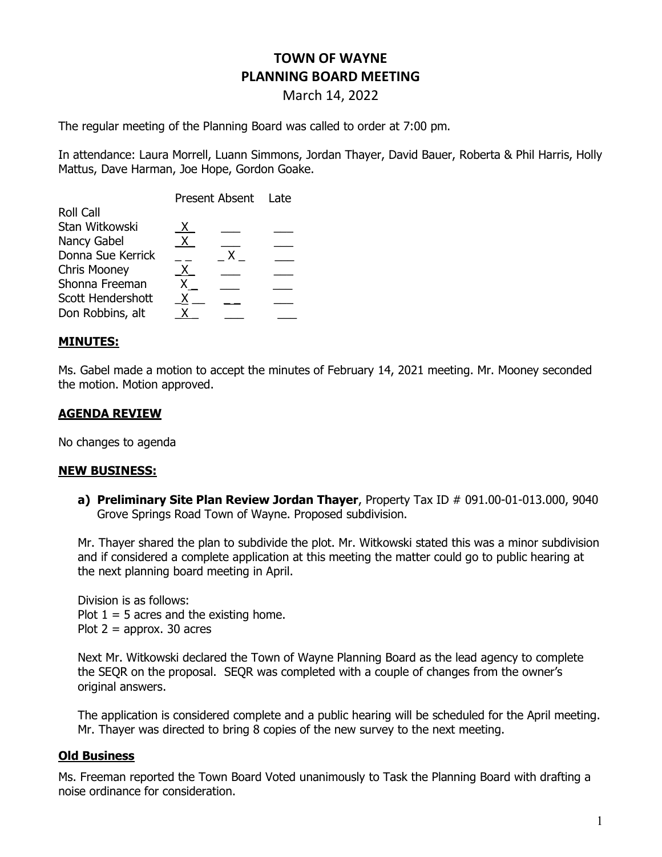# TOWN OF WAYNE PLANNING BOARD MEETING

March 14, 2022

The regular meeting of the Planning Board was called to order at 7:00 pm.

In attendance: Laura Morrell, Luann Simmons, Jordan Thayer, David Bauer, Roberta & Phil Harris, Holly Mattus, Dave Harman, Joe Hope, Gordon Goake.

| X. |    |                     |
|----|----|---------------------|
| X. |    |                     |
|    | X. |                     |
| X. |    |                     |
|    |    |                     |
|    |    |                     |
|    |    |                     |
|    |    | Present Absent Late |

## MINUTES:

Ms. Gabel made a motion to accept the minutes of February 14, 2021 meeting. Mr. Mooney seconded the motion. Motion approved.

# AGENDA REVIEW

No changes to agenda

#### NEW BUSINESS:

a) Preliminary Site Plan Review Jordan Thayer, Property Tax ID # 091.00-01-013.000, 9040 Grove Springs Road Town of Wayne. Proposed subdivision.

Mr. Thayer shared the plan to subdivide the plot. Mr. Witkowski stated this was a minor subdivision and if considered a complete application at this meeting the matter could go to public hearing at the next planning board meeting in April.

Division is as follows: Plot  $1 = 5$  acres and the existing home. Plot  $2 =$  approx. 30 acres

Next Mr. Witkowski declared the Town of Wayne Planning Board as the lead agency to complete the SEQR on the proposal. SEQR was completed with a couple of changes from the owner's original answers.

The application is considered complete and a public hearing will be scheduled for the April meeting. Mr. Thayer was directed to bring 8 copies of the new survey to the next meeting.

## Old Business

Ms. Freeman reported the Town Board Voted unanimously to Task the Planning Board with drafting a noise ordinance for consideration.